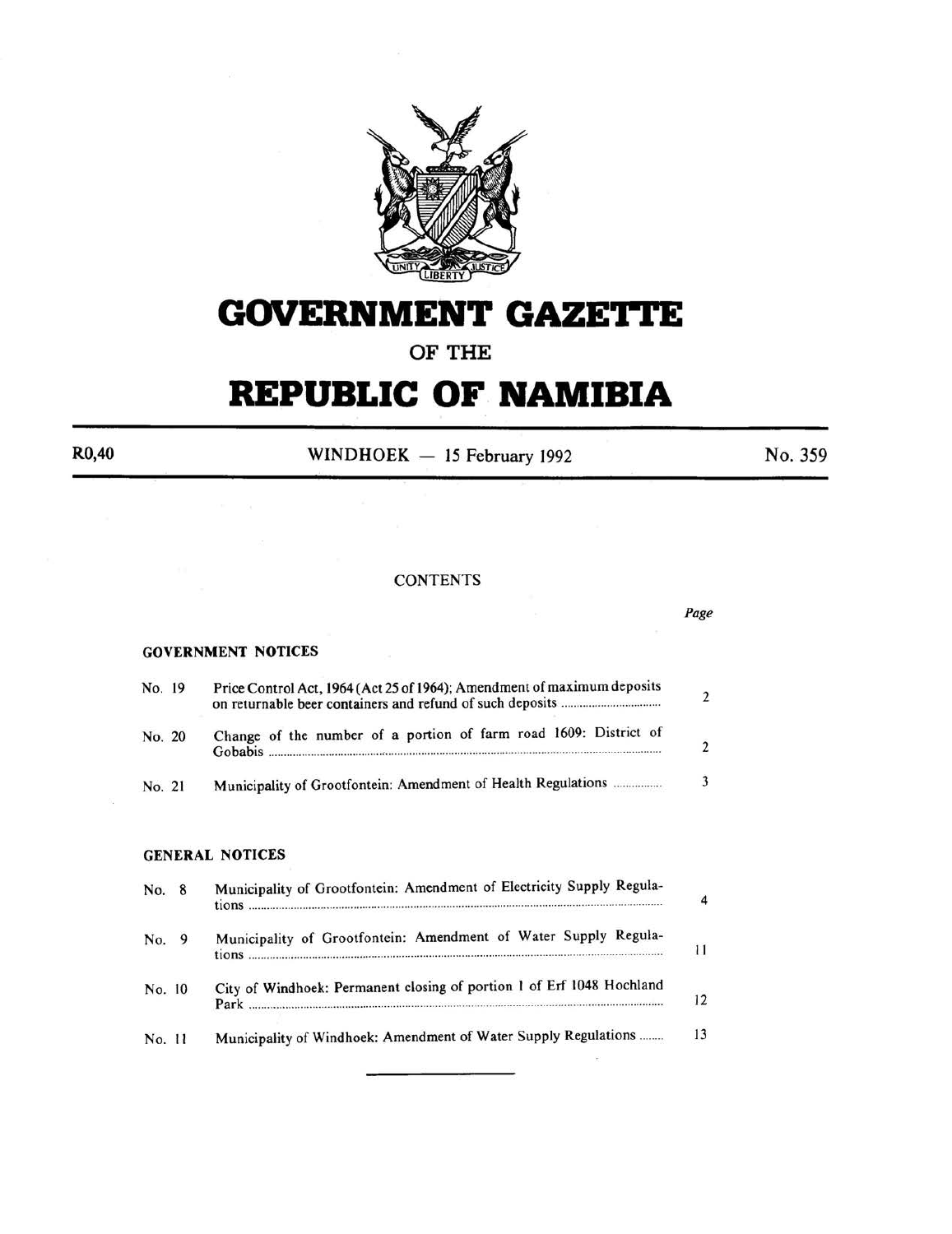

# **GOVERNMENT GAZETTE**

# OF THE

# **REPUBLIC OF NAMIBIA**

 $R0,40$  WINDHOEK - 15 February 1992 No. 359

*Page* 

#### **CONTENTS**

#### GOVERNMENT NOTICES

| No. 19 | Price Control Act, 1964 (Act 25 of 1964); Amendment of maximum deposits     |  |
|--------|-----------------------------------------------------------------------------|--|
| No. 20 | Change of the number of a portion of farm road 1609: District of<br>Gobabis |  |
| No. 21 | Municipality of Grootfontein: Amendment of Health Regulations               |  |

### GENERAL NOTICES

| No. 8  | Municipality of Grootfontein: Amendment of Electricity Supply Regula- | $\Delta$ |
|--------|-----------------------------------------------------------------------|----------|
| No. 9  | Municipality of Grootfontein: Amendment of Water Supply Regula-       | 11       |
| No. 10 | City of Windhoek: Permanent closing of portion 1 of Erf 1048 Hochland | 12       |
| No. 11 | Municipality of Windhoek: Amendment of Water Supply Regulations       | 13       |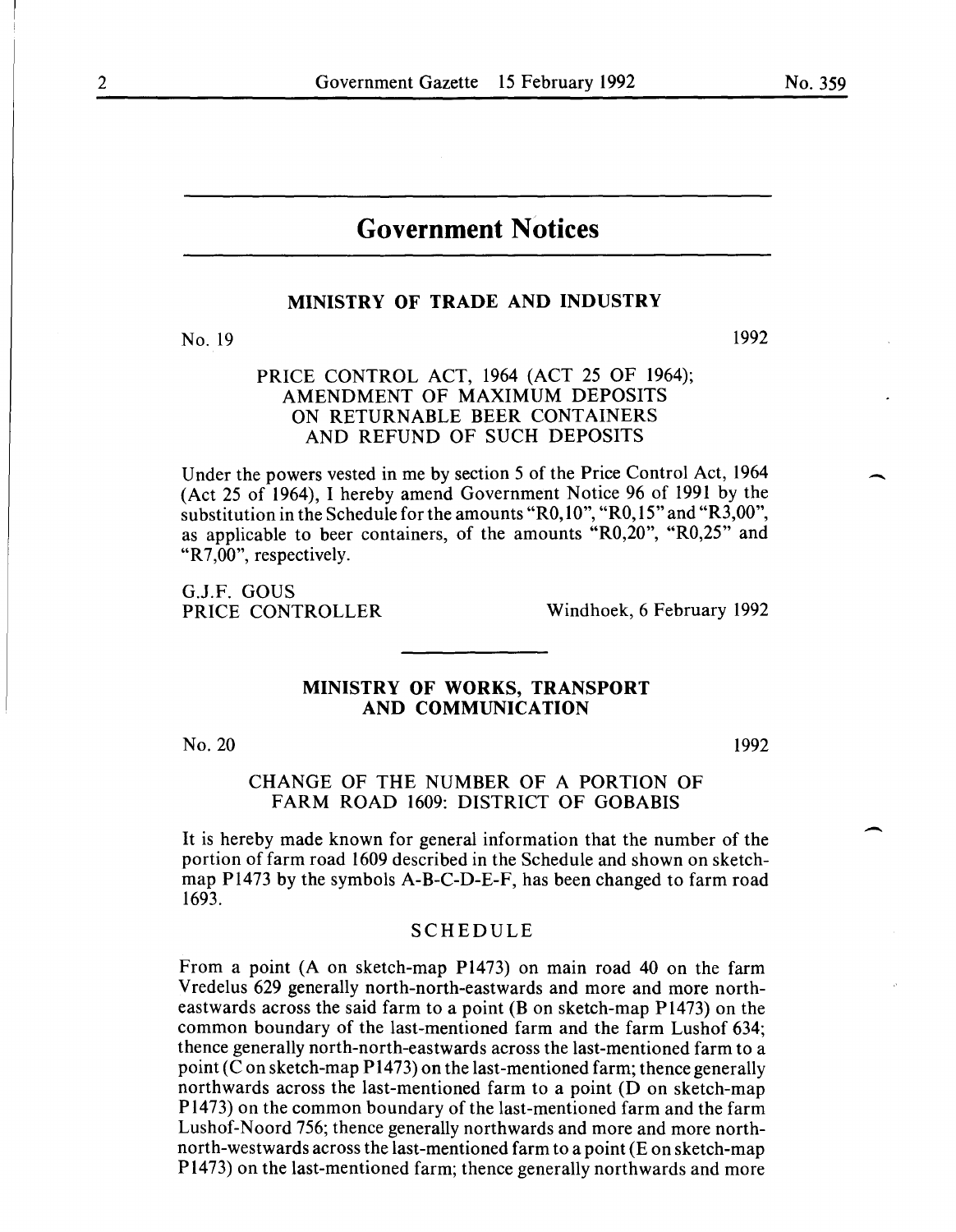$\overline{\phantom{a}}$ 

 $\overline{\phantom{a}}$ 

# **Government Notices**

# **MINISTRY OF TRADE AND INDUSTRY**

No. 19

# PRICE CONTROL ACT, 1964 (ACT 25 OF 1964); AMENDMENT OF MAXIMUM DEPOSITS ON RETURNABLE BEER CONTAINERS AND REFUND OF SUCH DEPOSITS

Under the powers vested in me by section 5 of the Price Control Act, 1964 (Act 25 of 1964), I hereby amend Government Notice 96 of 1991 by the substitution in the Schedule for the amounts "RO, 10", "RO, 15" and "R3,00", as applicable to beer containers, of the amounts "R0,20", "R0,25" and "R7,00", respectively.

G.J.F. GOUS<br>PRICE CONTROLLER

Windhoek, 6 February 1992

# **MINISTRY OF WORKS, TRANSPORT AND COMMUNICATION**

No. 20

1992

### CHANGE OF THE NUMBER OF A PORTION OF FARM ROAD 1609: DISTRICT OF GOBABIS

It is hereby made known for general information that the number of the portion of farm road 1609 described in the Schedule and shown on sketchmap Pl473 by the symbols A-B-C-D-E-F, has been changed to farm road 1693.

#### SCHEDULE

From a point (A on sketch-map Pl473) on main road 40 on the farm Vredelus 629 generally north-north-eastwards and more and more northeastwards across the said farm to a point  $(B \text{ on sketch-map } P1473)$  on the common boundary of the last-mentioned farm and the farm Lushof 634; thence generally north-north-eastwards across the last-mentioned farm to a point (C on sketch-map P1473) on the last-mentioned farm; thence generally northwards across the last-mentioned farm to a point (D on sketch-map Pl473) on the common boundary of the last-mentioned farm and the farm Lushof-Noord 756; thence generally northwards and more and more northnorth-westwards across the last-mentioned farm to a point (E on sketch-map P1473) on the last-mentioned farm; thence generally northwards and more

1992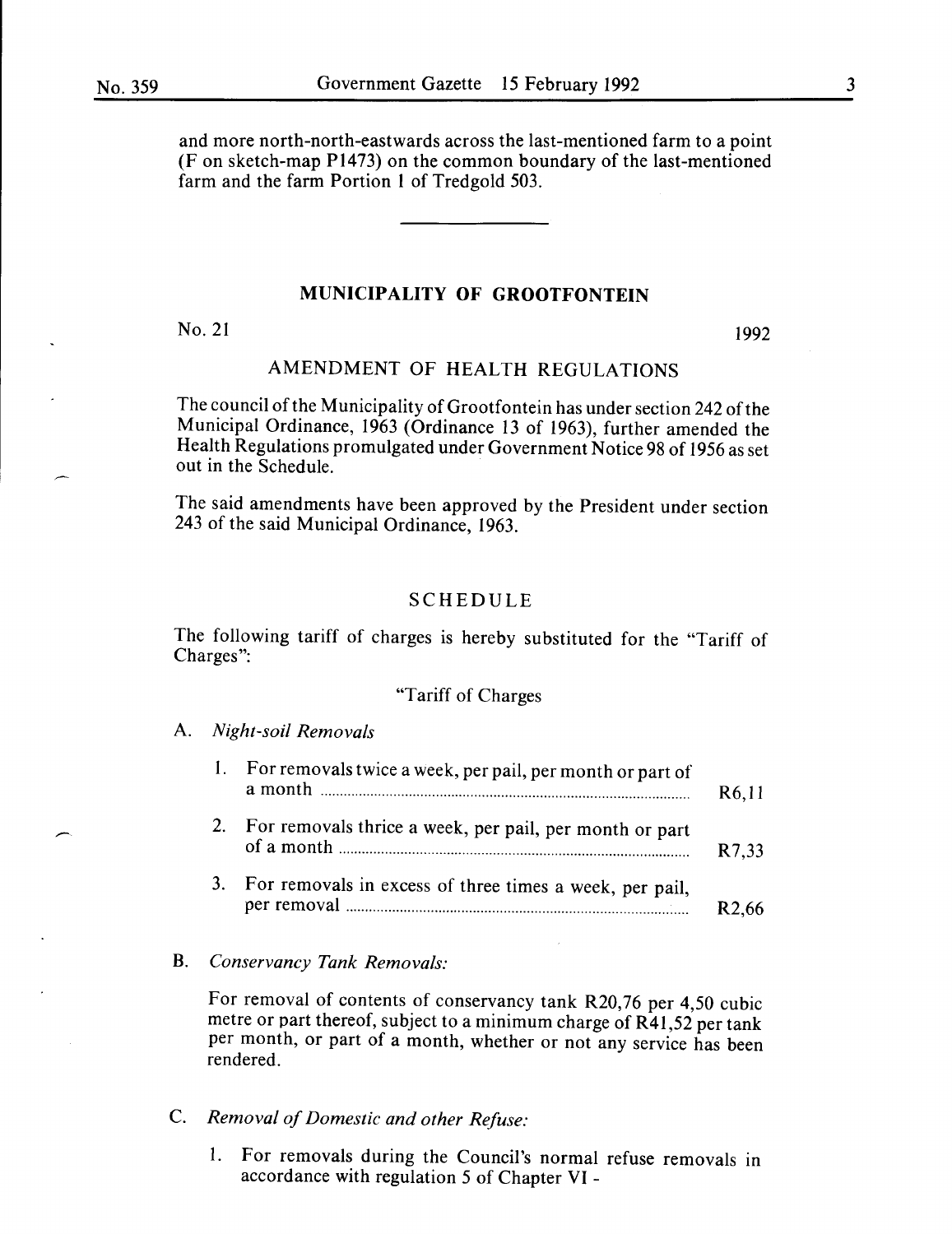and more north-north-eastwards across the last-mentioned farm to a point (F on sketch-map P1473) on the common boundary of the last-mentioned farm and the farm Portion **1** of Tredgold 503.

# **MUNICIPALITY OF GROOTFONTEIN**

 $No. 21$  1992

# AMENDMENT OF HEALTH REGULATIONS

The council of the Municipality of Grootfontein has under section 242 of the Municipal Ordinance, 1963 (Ordinance 13 of 1963), further amended the Health Regulations promulgated under Government Notice 98 of 1956 as set out in the Schedule.

The said amendments have been approved by the President under section 243 of the said Municipal Ordinance, 1963.

# SCHEDULE

The following tariff of charges is hereby substituted for the "Tariff of Charges":

## "Tariff of Charges

#### A. *Night-soil Removals*

|    | For removals twice a week, per pail, per month or part of | R <sub>6</sub> ,11 |
|----|-----------------------------------------------------------|--------------------|
| 2. | For removals thrice a week, per pail, per month or part   | R7,33              |
| 3. | For removals in excess of three times a week, per pail,   |                    |

#### B. *Conservancy Tank Removals:*

For removal of contents of conservancy tank R20,76 per 4,50 cubic metre or part thereof, subject to a minimum charge of R41,52 per tank per month, or part of a month, whether or not any service has been rendered.

C. *Removal of Domestic and other Refuse:* 

1. For removals during the Council's normal refuse removals in accordance with regulation 5 of Chapter VI -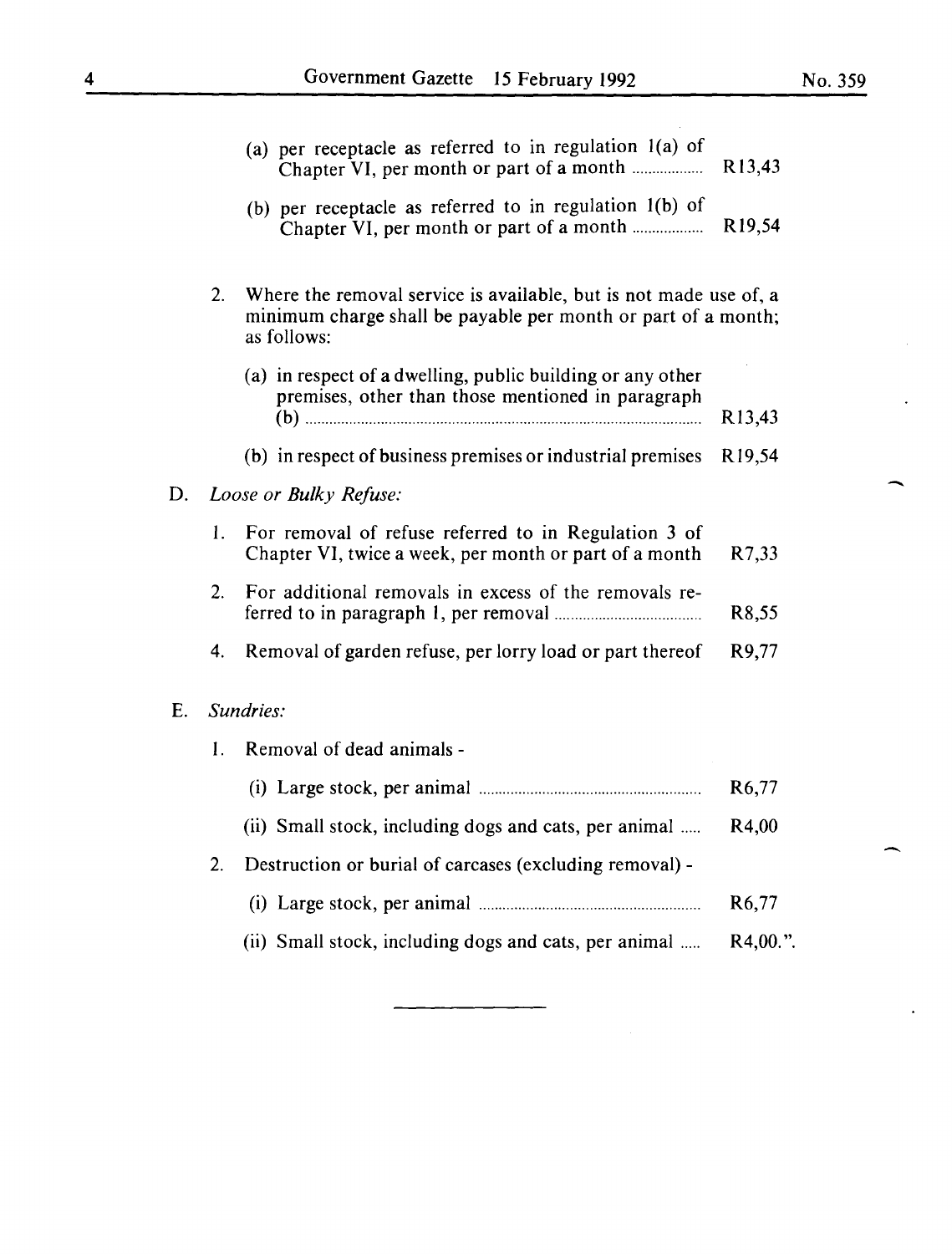$\sim$   $\sim$ 

-

-

 $\bullet$ 

|    |                        | (a) per receptacle as referred to in regulation $l(a)$ of                                                                          | R <sub>13</sub> ,43 |  |  |
|----|------------------------|------------------------------------------------------------------------------------------------------------------------------------|---------------------|--|--|
|    |                        | (b) per receptacle as referred to in regulation $l(b)$ of<br>Chapter VI, per month or part of a month                              | R <sub>19</sub> ,54 |  |  |
|    | 2.                     | Where the removal service is available, but is not made use of, a<br>minimum charge shall be payable per month or part of a month; |                     |  |  |
|    |                        | (a) in respect of a dwelling, public building or any other<br>premises, other than those mentioned in paragraph                    | R <sub>13</sub> ,43 |  |  |
|    |                        | (b) in respect of business premises or industrial premises                                                                         | R <sub>19,54</sub>  |  |  |
| D. | Loose or Bulky Refuse: |                                                                                                                                    |                     |  |  |
|    | 1.                     | For removal of refuse referred to in Regulation 3 of<br>Chapter VI, twice a week, per month or part of a month                     | R7,33               |  |  |
|    | 2.                     | For additional removals in excess of the removals re-                                                                              | R <sub>8</sub> ,55  |  |  |
|    | 4.                     | Removal of garden refuse, per lorry load or part thereof                                                                           | R9,77               |  |  |
| E. |                        | Sundries:                                                                                                                          |                     |  |  |
|    | 1.                     | Removal of dead animals -                                                                                                          |                     |  |  |
|    |                        |                                                                                                                                    | R <sub>6</sub> ,77  |  |  |
|    |                        | (ii) Small stock, including dogs and cats, per animal                                                                              | R4,00               |  |  |
|    | 2.                     | Destruction or burial of carcases (excluding removal) -                                                                            |                     |  |  |
|    |                        |                                                                                                                                    | R <sub>6</sub> ,77  |  |  |
|    |                        | (ii) Small stock, including dogs and cats, per animal                                                                              | R4,00.".            |  |  |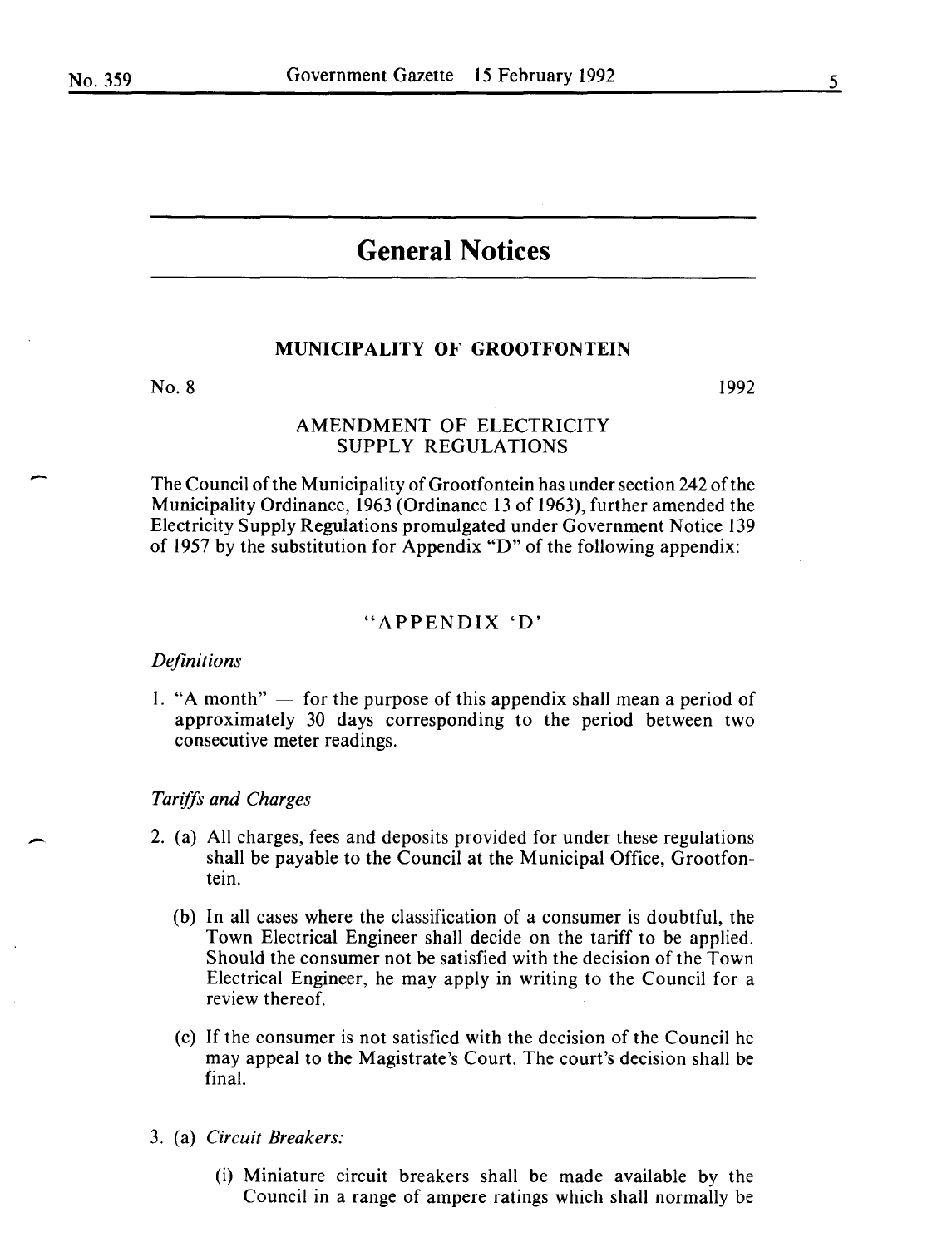-

# **General Notices**

# **MUNICIPALITY OF GROOTFONTEIN**

No. 8

1992

# AMENDMENT OF ELECTRICITY SUPPLY REGULATIONS

The Council of the Municipality of Grootfontein has under section 242 of the Municipality Ordinance, 1963 (Ordinance 13 of 1963), further amended the Electricity Supply Regulations promulgated under Government Notice 139 of 1957 by the substitution for Appendix "D" of the following appendix:

## "APPENDIX 'D'

#### *Definitions*

1. "A month"  $-$  for the purpose of this appendix shall mean a period of approximately 30 days corresponding to the period between two consecutive meter readings.

#### *Tariffs and Charges*

- 2. (a) All charges, fees and deposits provided for under these regulations shall be payable to the Council at the Municipal Office, Grootfontein.
	- (b) In all cases where the classification of a consumer is doubtful, the Town Electrical Engineer shall decide on the tariff to be applied. Should the consumer not be satisfied with the decision of the Town Electrical Engineer, he may apply in writing to the Council for a review thereof.
	- (c) If the consumer is not satisfied with the decision of the Council he may appeal to the Magistrate's Court. The court's decision shall be final.
- 3. (a) *Circuit Breakers:* 
	- (i) Miniature circuit breakers shall be made available by the Council in a range of ampere ratings which shall normally be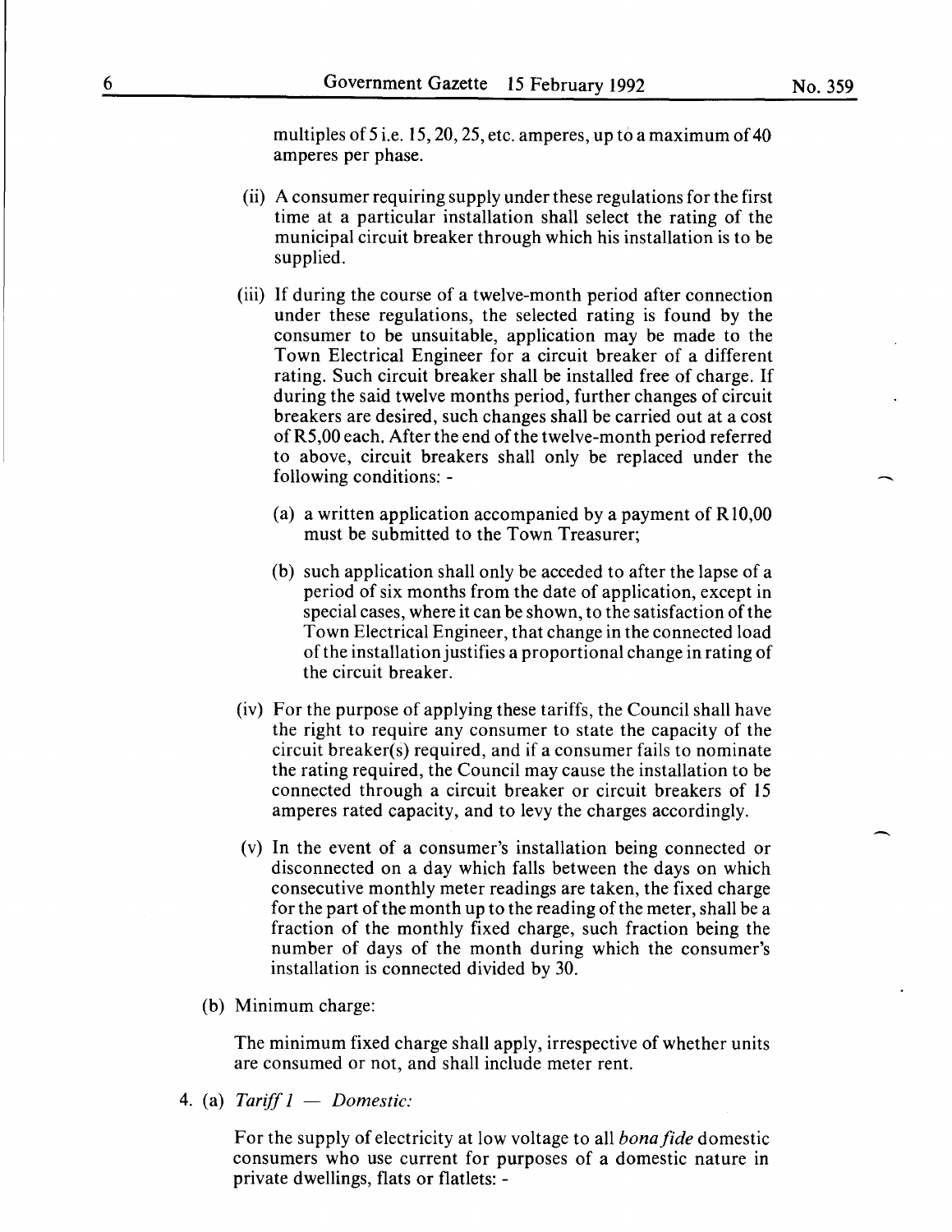-

multiples of 5 i.e. 15, 20, 25, etc. amperes, up to a maximum of 40 amperes per phase.

- (ii) A consumer requiring supply under these regulations for the first time at a particular installation shall select the rating of the municipal circuit breaker through which his installation is to be supplied.
- (iii) If during the course of a twelve-month period after connection under these regulations, the selected rating is found by the consumer to be unsuitable, application may be made to the Town Electrical Engineer for a circuit breaker of a different rating. Such circuit breaker shall be installed free of charge. If during the said twelve months period, further changes of circuit breakers are desired, such changes shall be carried out at a cost of R5,00 each. After the end of the twelve-month period referred to above, circuit breakers shall only be replaced under the following conditions: -
	- (a) a written application accompanied by a payment of R10,00 must be submitted to the Town Treasurer;
	- (b) such application shall only be acceded to after the lapse of a period of six months from the date of application, except in special cases, where it can be shown, to the satisfaction of the Town Electrical Engineer, that change in the connected load of the installation justifies a proportional change in rating of the circuit breaker.
- (iv) For the purpose of applying these tariffs, the Council shall have the right to require any consumer to state the capacity of the circuit breaker(s) required, and if a consumer fails to nominate the rating required, the Council may cause the installation to be connected through a circuit breaker or circuit breakers of 15 amperes rated capacity, and to levy the charges accordingly.
- (v) In the event of a consumer's installation being connected or disconnected on a day which falls between the days on which consecutive monthly meter readings are taken, the fixed charge for the part of the month up to the reading of the meter, shall be a fraction of the monthly fixed charge, such fraction being the number of days of the month during which the consumer's installation is connected divided by 30.
- (b) Minimum charge:

The minimum fixed charge shall apply, irrespective of whether units are consumed or not, and shall include meter rent.

4. (a) *Tariff 1* - *Domestic:* 

For the supply of electricity at low voltage to all *bonafide* domestic consumers who use current for purposes of a domestic nature in private dwellings, flats or flatlets: -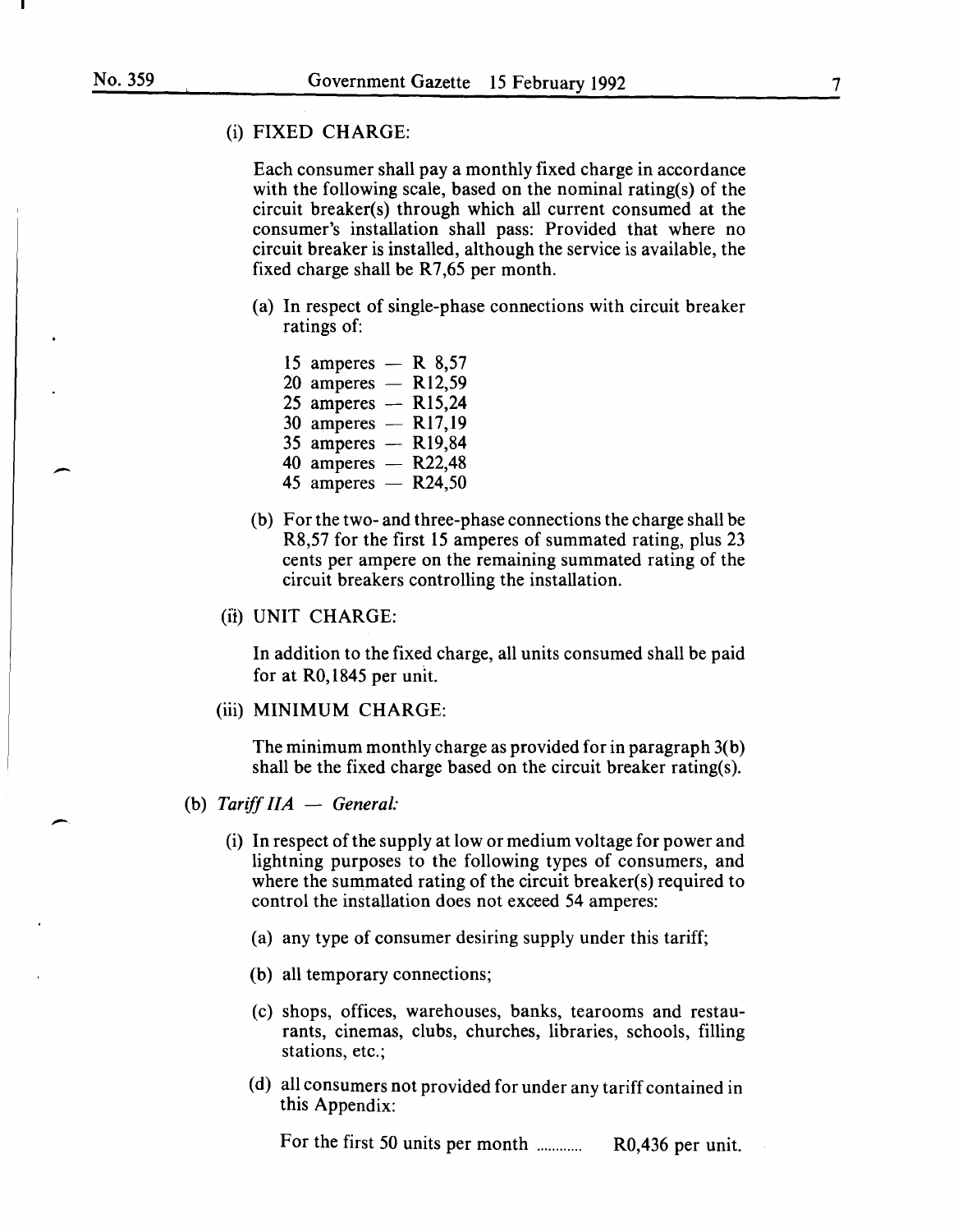-·

#### (i) FIXED CHARGE:

Each consumer shall pay a monthly fixed charge in accordance with the following scale, based on the nominal rating(s) of the circuit breaker(s) through which all current consumed at the consumer's installation shall pass: Provided that where no circuit breaker is installed, although the service is available, the fixed charge shall be  $R7,65$  per month.

(a) In respect of single-phase connections with circuit breaker ratings of:

| 15 amperes $-$ R 8,57 |                     |
|-----------------------|---------------------|
| 20 amperes $-$ R12,59 |                     |
| 25 amperes $-$ R15,24 |                     |
| 30 amperes $-$ R17,19 |                     |
| 35 amperes $-$ R19,84 |                     |
| 40 amperes $-$        | R <sub>22</sub> ,48 |
| 45 amperes $-$ R24,50 |                     |
|                       |                     |

(b) For the two- and three-phase connections the charge shall be R8,57 for the first 15 amperes of summated rating, plus 23 cents per ampere on the remaining summated rating of the circuit breakers controlling the installation.

# (i'i) UNIT CHARGE:

In addition to the fixed charge, all units consumed shall be paid for at RO, 1845 per unit.

#### (iii) MINIMUM CHARGE:

The minimum monthly charge as provided for in paragraph 3(b) shall be the fixed charge based on the circuit breaker rating(s).

- (b) *Tariff IIA General:* 
	- (i) In respect of the supply at low or medium voltage for power and lightning purposes to the following types of consumers, and where the summated rating of the circuit breaker(s) required to control the installation does not exceed 54 amperes:
		- (a) any type of consumer desiring supply under this tariff;
		- (b) all temporary connections;
		- (c) shops, offices, warehouses, banks, tearooms and restaurants, cinemas, clubs, churches, libraries, schools, filling stations, etc.;
		- (d) all consumers not provided for under any tariff contained in this Appendix:

For the first 50 units per month ........... . R0,436 per unit.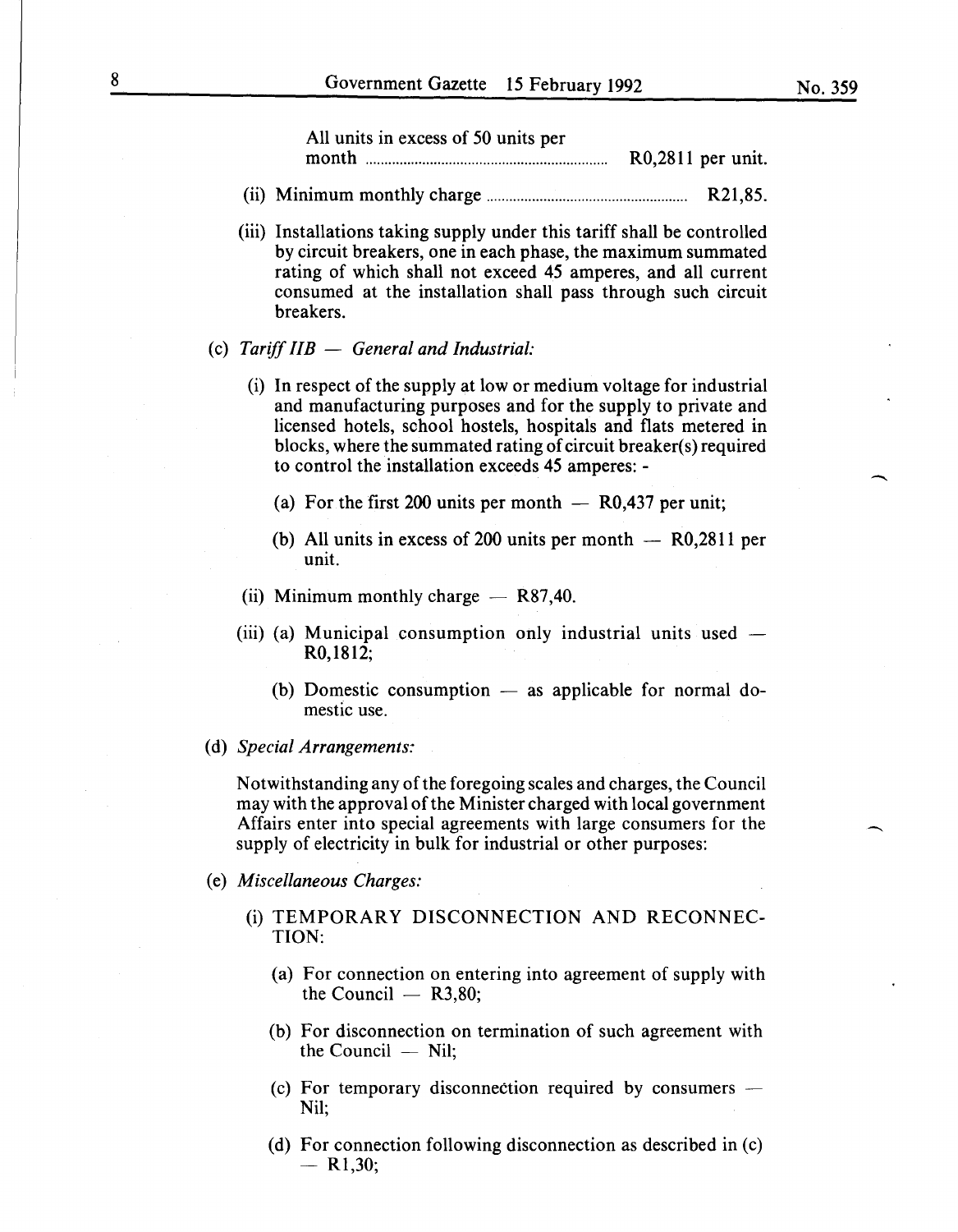$\overline{\phantom{a}}$ 

| All units in excess of 50 units per |                   |
|-------------------------------------|-------------------|
| month                               | $R0,2811$ per uni |

- (ii) Minimum monthly charge..................................................... R21,85.
- (iii) Installations taking supply under this tariff shall be controlled by circuit breakers, one in each phase, the maximum summated rating of which shall not exceed 45 amperes, and all current consumed at the installation shall pass through such circuit breakers.
- (c) *Tariff liB General and Industrial:* 
	- (i) In respect of the supply at low or medium voltage for industrial and manufacturing purposes and for the supply to private and licensed hotels, school hostels, hospitals and flats metered in blocks, where the summated rating of circuit breaker(s) required to control the installation exceeds 45 amperes: -
		- (a) For the first 200 units per month  $-$  R0,437 per unit;
		- (b) All units in excess of 200 units per month  $-$  R0,2811 per unit.
	- (ii) Minimum monthly charge  $-$  R87,40.
	- (iii) (a) Municipal consumption only industrial units used  $-$ R0,1812;
		- (b) Domestic consumption  $-$  as applicable for normal domestic use.
- (d) *Special Arrangements;·*

Notwithstanding any of the foregoing scales and charges, the Council may with the approval of the Minister charged with local government Affairs enter into special agreements with large consumers for the supply of electricity in bulk for industrial or other purposes:

- (e) *Miscellaneous Charges:* 
	- (i) TEMPORARY DISCONNECTION AND RECONNEC-TION:
		- (a) For connection on entering into agreement of supply with the Council  $-$  R3,80;
		- (b) For disconnection on termination of such agreement with the Council  $-$  Nil;
		- (c) For temporary disconnection required by consumers  $-$ Nil;
		- (d) For connection following disconnection as described in (c)  $-$  R<sub>1</sub>,30;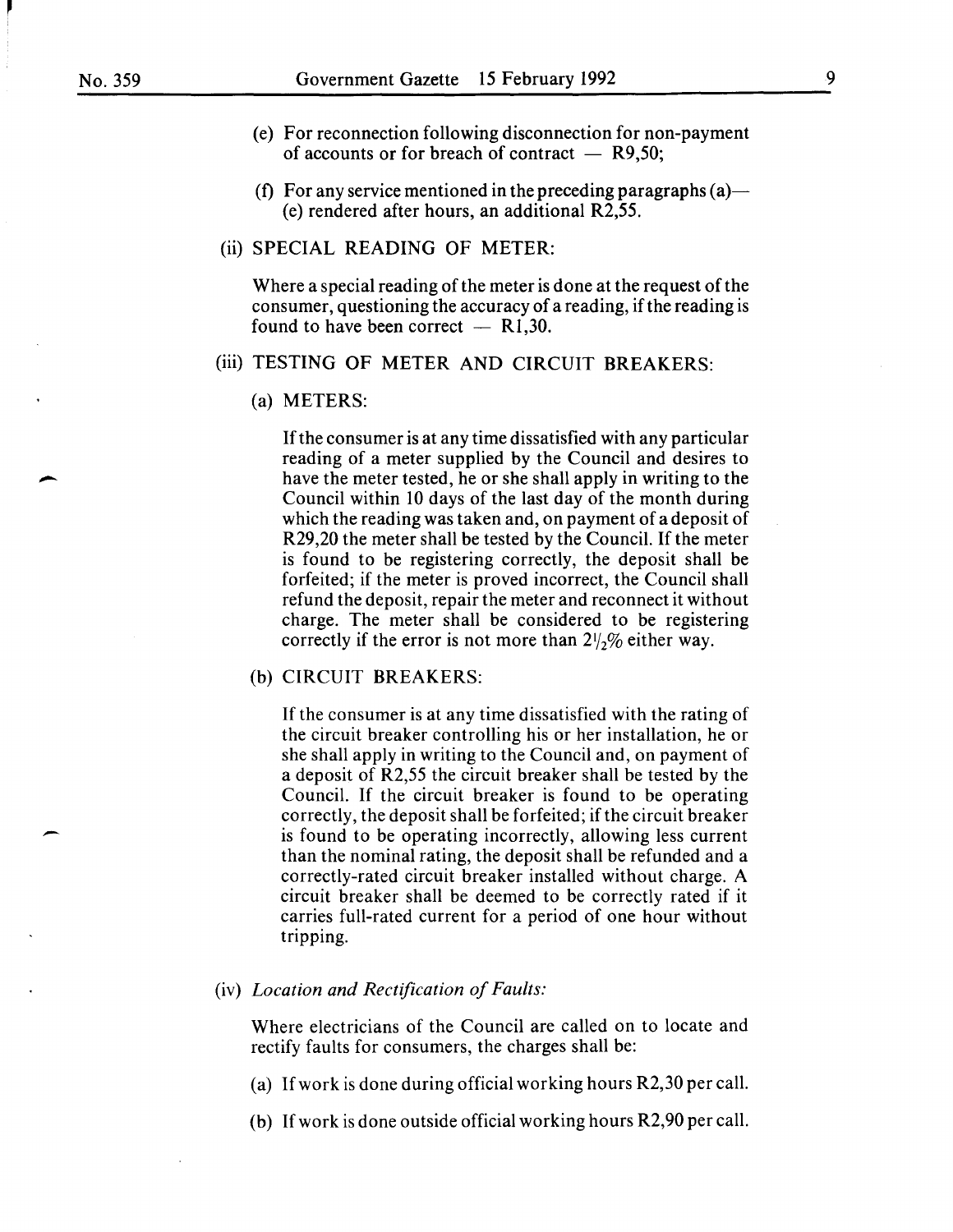-

- (e) For reconnection following disconnection for non-payment of accounts or for breach of contract  $-$  R9,50;
- (f) For any service mentioned in the preceding paragraphs  $(a)$  (e) rendered after hours, an additional R2,55.

#### (ii) SPECIAL READING OF METER:

Where a special reading of the meter is done at the request of the consumer, questioning the accuracy of a reading, if the reading is found to have been correct  $-$  R1,30.

#### (iii) TESTING OF METER AND CIRCUIT BREAKERS:

(a) METERS:

If the consumer is at any time dissatisfied with any particular reading of a meter supplied by the Council and desires to have the meter tested, he or she shall apply in writing to the Council within 10 days of the last day of the month during which the reading was taken and, on payment of a deposit of R29,20 the meter shall be tested by the Council. If the meter is found to be registering correctly, the deposit shall be forfeited; if the meter is proved incorrect, the Council shall refund the deposit, repair the meter and reconnect it without charge. The meter shall be considered to be registering correctly if the error is not more than  $2\frac{1}{2}\%$  either way.

#### (b) CIRCUIT BREAKERS:

If the consumer is at any time dissatisfied with the rating of the circuit breaker controlling his or her installation, he or she shall apply in writing to the Council and, on payment of a deposit of R2,55 the circuit breaker shall be tested by the Council. If the circuit breaker is found to be operating correctly, the deposit shall be forfeited; if the circuit breaker is found to be operating incorrectly, allowing less current than the nominal rating, the deposit shall be refunded and a correctly-rated circuit breaker installed without charge. A circuit breaker shall be deemed to be correctly rated if it carries full-rated current for a period of one hour without tripping.

#### (iv) *Location and Rectification of Faults:*

Where electricians of the Council are called on to locate and rectify faults for consumers, the charges shall be:

- (a) If work is done during official working hours R2,30 per call.
- (b) If work is done outside official working hours R2,90 per call.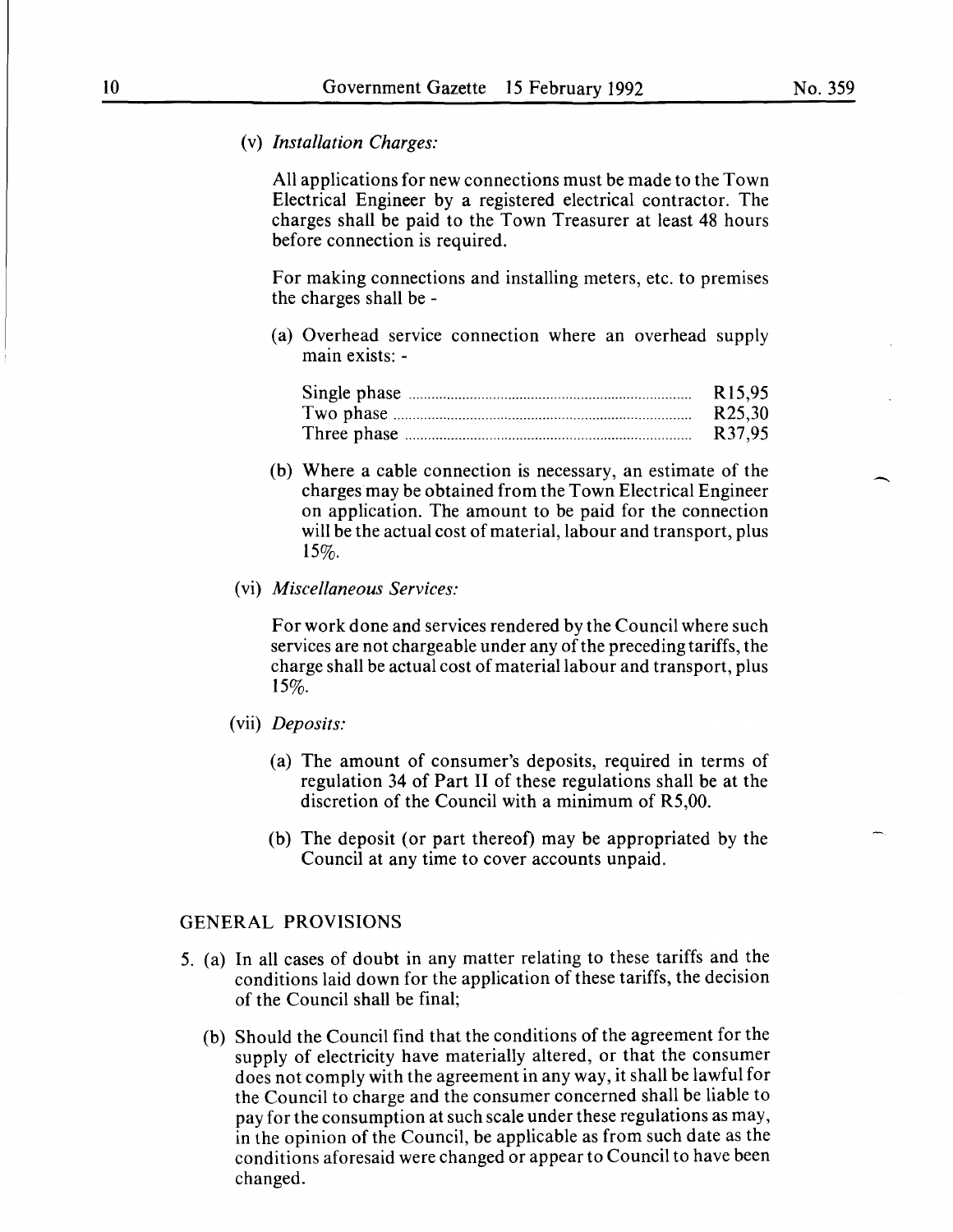(v) *Installation Charges:* 

All applications for new connections must be made to the Town Electrical Engineer by a registered electrical contractor. The charges shall be paid to the Town Treasurer at least 48 hours before connection is required.

For making connections and installing meters, etc. to premises the charges shall be -

(a) Overhead service connection where an overhead supply main exists: -

| R <sub>15.95</sub>  |
|---------------------|
| R <sub>25</sub> ,30 |
| R37,95              |

(b) Where a cable connection is necessary, an estimate of the charges may be obtained from the Town Electrical Engineer on application. The amount to be paid for the connection will be the actual cost of material, labour and transport, plus 15%.

#### (vi) *Miscellaneous Services:*

For work done and services rendered by the Council where such services are not chargeable under any of the preceding tariffs, the charge shall be actual cost of material labour and transport, plus 15%.

- (vii) *Deposits:* 
	- (a) The amount of consumer's deposits, required in terms of regulation 34 of Part II of these regulations shall be at the discretion of the Council with a minimum of R5,00.
	- (b) The deposit (or part thereof) may be appropriated by the Council at any time to cover accounts unpaid.

#### GENERAL PROVISIONS

- 5. (a) In all cases of doubt in any matter relating to these tariffs and the conditions laid down for the application of these tariffs, the decision of the Council shall be final;
	- (b) Should the Council find that the conditions of the agreement for the supply of electricity have materially altered, or that the consumer does not comply with the agreement in any way, it shall be lawful for the Council to charge and the consumer concerned shall be liable to pay for the consumption at such scale under these regulations as may, in the opinion of the Council, be applicable as from such date as the conditions aforesaid were changed or appear to Council to have been changed.

-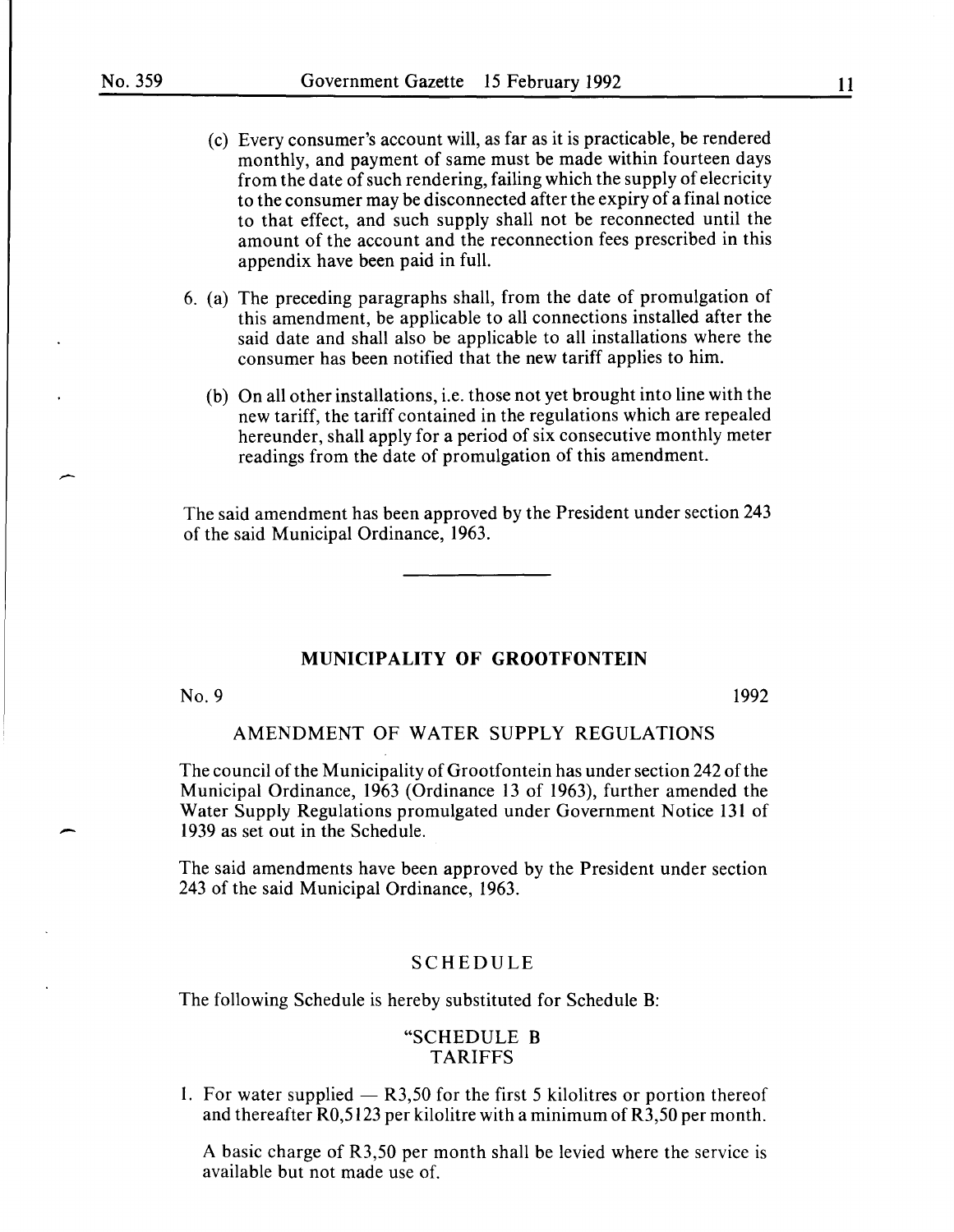- (c) Every consumer's account will, as far as it is practicable, be rendered monthly, and payment of same must be made within fourteen days from the date of such rendering, failing which the supply of elecricity to the consumer may be disconnected after the expiry of a final notice to that effect, and such supply shall not be reconnected until the amount of the account and the reconnection fees prescribed in this appendix have been paid in full.
- 6. (a) The preceding paragraphs shall, from the date of promulgation of this amendment, be applicable to all connections installed after the said date and shall also be applicable to all installations where the consumer has been notified that the new tariff applies to him.
	- (b) On all other installations, i.e. those not yet brought into line with the new tariff, the tariff contained in the regulations which are repealed hereunder, shall apply for a period of six consecutive monthly meter readings from the date of promulgation of this amendment.

The said amendment has been approved by the President under section 243 of the said Municipal Ordinance, 1963.

# **MUNICIPALITY OF GROOTFONTEIN**

No. 9 1992

-

# AMENDMENT OF WATER SUPPLY REGULATIONS

The council of the Municipality of Grootfontein has under section 242 of the Municipal Ordinance, 1963 (Ordinance 13 of 1963), further amended the Water Supply Regulations promulgated under Government Notice 131 of 1939 as set out in the Schedule.

The said amendments have been approved by the President under section 243 of the said Municipal Ordinance, 1963.

# SCHEDULE

The following Schedule is hereby substituted for Schedule B:

# "SCHEDULE **B**  TARIFFS

1. For water supplied  $-$  R3,50 for the first 5 kilolitres or portion thereof and thereafter  $R0,5123$  per kilolitre with a minimum of  $R3,50$  per month.

A basic charge of R3,50 per month shall be levied where the service is available but not made use of.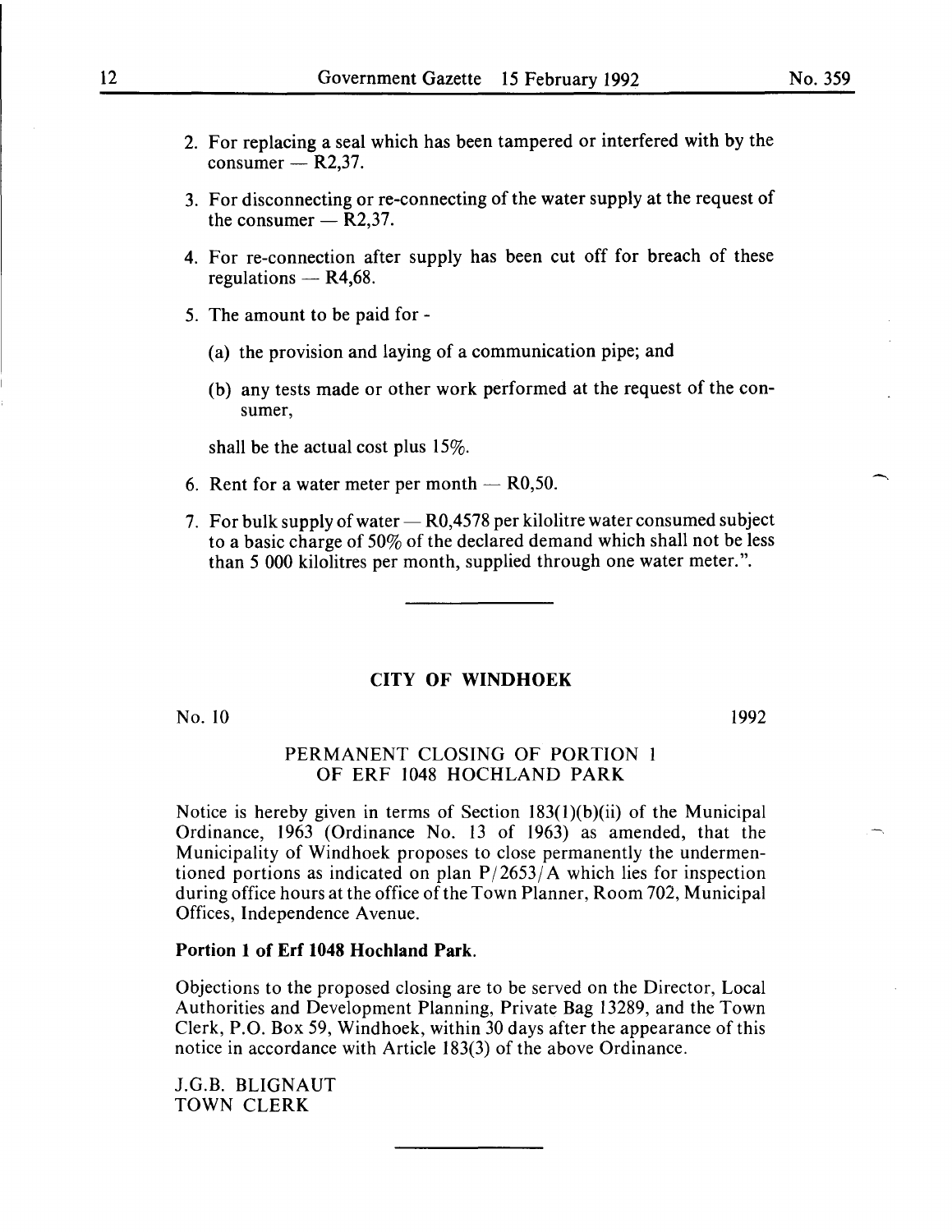- 2. For replacing a seal which has been tampered or interfered with by the consumer  $-$  R2,37.
- 3. For disconnecting or re-connecting of the water supply at the request of the consumer  $-$  R2,37.
- **4.** For re-connection after supply has been cut off for breach of these regulations  $-$  R4,68.
- 5. The amount to be paid for
	- (a) the provision and laying of a communication pipe; and
	- (b) any tests made or other work performed at the request of the consumer,

shall be the actual cost plus 15%.

- 6. Rent for a water meter per month  $-$  R0,50.
- 7. For bulk supply of water  $-$  R0,4578 per kilolitre water consumed subject to a basic charge of 50% of the declared demand which shall not be less than 5 000 kilolitres per month, supplied through one water meter.".

#### **CITY OF WINDHOEK**

No. 10

1992

# PERMANENT CLOSING OF PORTION 1 OF ERF 1048 HOCHLAND PARK

Notice is hereby given in terms of Section 183(1)(b)(ii) of the Municipal Ordinance, 1963 (Ordinance No. 13 of 1963) as amended, that the Municipality of Windhoek proposes to close permanently the undermentioned portions as indicated on plan  $P/2653/A$  which lies for inspection during office hours at the office of the Town Planner, Room 702, Municipal Offices, Independence A venue.

#### **Portion 1 of Erf 1048 Hochland Park.**

Objections to the proposed closing are to be served on the Director, Local Authorities and Development Planning, Private Bag 13289, and the Town Clerk, P.O. Box 59, Windhoek, within 30 days after the appearance of this notice in accordance with Article 183(3) of the above Ordinance.

J.G.B. BLIGNAUT TOWN CLERK